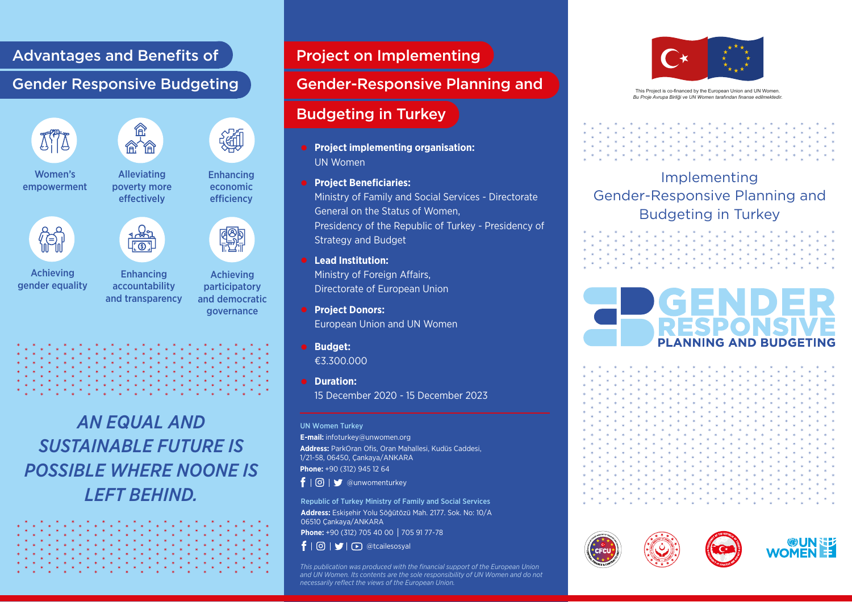#### Advantages and Benefits of

### Gender Responsive Budgeting





Women's empowerment



Achieving gender equality



Alleviating poverty more effectively

Achieving Enhancing accountability and transparency

participatory and democratic governance

Enhancing economic efficiency

**ROD**<br>HULL



*AN EQUAL AND SUSTAINABLE FUTURE IS POSSIBLE WHERE NOONE IS LEFT BEHIND.* 

## Project on Implementing

#### Gender-Responsive Planning and

# Budgeting in Turkey

- **•** Project implementing organisation: UN Women
- **Project Beneficiaries:** Ministry of Family and Social Services - Directorate General on the Status of Women, Presidency of the Republic of Turkey - Presidency of Strategy and Budget
- **Lead Institution:**  Ministry of Foreign Affairs, Directorate of European Union
- **Project Donors:** European Union and UN Women
- **Budget:**  €3.300.000
- **Duration:**  15 December 2020 - 15 December 2023

#### UN Women Turkey

**E-mail:** infoturkey@unwomen.org **Address:** ParkOran Ofis, Oran Mahallesi, Kudüs Caddesi, 1/21-58, 06450, Çankaya/ANKARA

**Phone:** +90 (312) 945 12 64

 $f | \odot | \blacktriangleright$  @unwomenturkey

Republic of Turkey Ministry of Family and Social Services **Address:** Eskişehir Yolu Söğütözü Mah. 2177. Sok. No: 10/A 06510 Çankaya/ANKARA

**Phone:** +90 (312) 705 40 00 705 91 77-78

 $\mathbf{f} \mid \mathbf{0} \mid \mathbf{y} \mid \mathbf{0}$  @tcailesosyal

*This publication was produced with the financial support of the European Union and UN Women. Its contents are the sole responsibility of UN Women and do not necessarily reflect the views of the European Union.*



This Project is co-financed by the European Union and UN Women. *Bu Proje Avrupa Birliği ve UN Women tarafından finanse edilmektedir.*

# Implementing Gender-Responsive Planning and Budgeting in Turkey